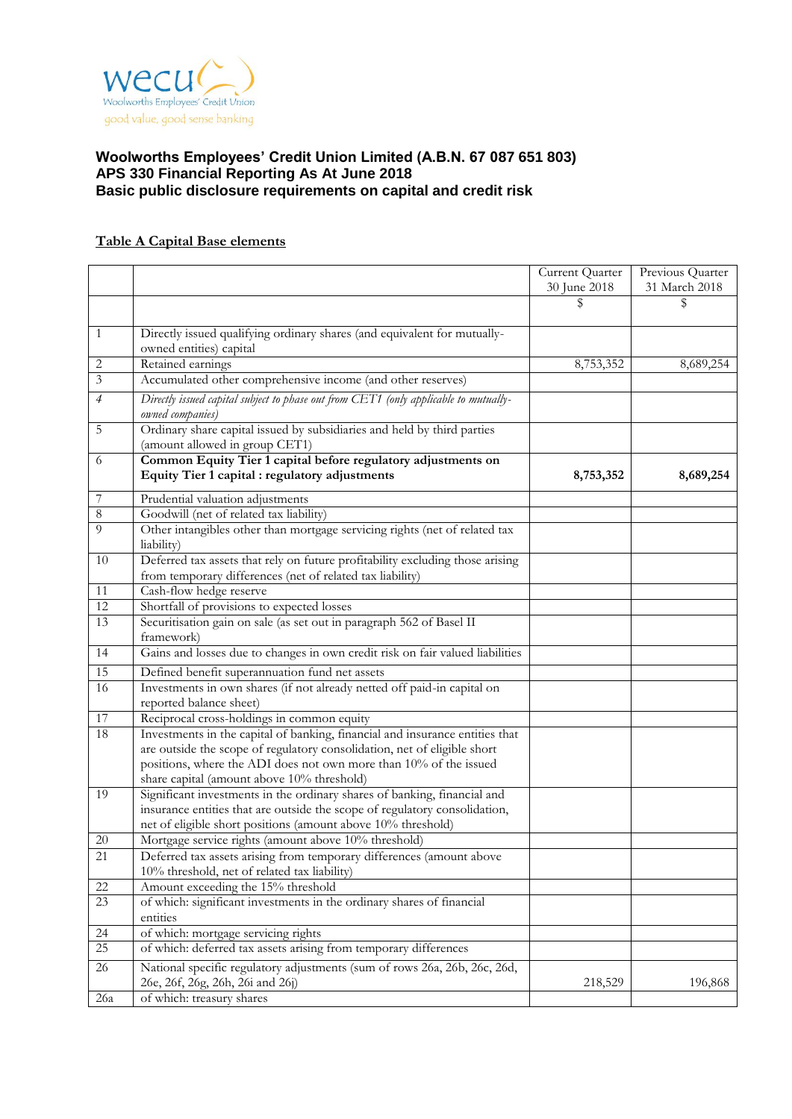

# **Table A Capital Base elements**

|                 |                                                                                                                                                                                                                                                                             | Current Quarter | Previous Quarter |
|-----------------|-----------------------------------------------------------------------------------------------------------------------------------------------------------------------------------------------------------------------------------------------------------------------------|-----------------|------------------|
|                 |                                                                                                                                                                                                                                                                             | 30 June 2018    | 31 March 2018    |
|                 |                                                                                                                                                                                                                                                                             | \$              | \$               |
| $\mathbf{1}$    | Directly issued qualifying ordinary shares (and equivalent for mutually-<br>owned entities) capital                                                                                                                                                                         |                 |                  |
| 2               | Retained earnings                                                                                                                                                                                                                                                           | 8,753,352       | 8,689,254        |
| $\overline{3}$  | Accumulated other comprehensive income (and other reserves)                                                                                                                                                                                                                 |                 |                  |
| $\overline{4}$  | Directly issued capital subject to phase out from CET1 (only applicable to mutually-<br>owned companies)                                                                                                                                                                    |                 |                  |
| 5               | Ordinary share capital issued by subsidiaries and held by third parties<br>(amount allowed in group CET1)                                                                                                                                                                   |                 |                  |
| 6               | Common Equity Tier 1 capital before regulatory adjustments on<br>Equity Tier 1 capital : regulatory adjustments                                                                                                                                                             | 8,753,352       | 8,689,254        |
| 7               | Prudential valuation adjustments                                                                                                                                                                                                                                            |                 |                  |
| $\,8\,$         | Goodwill (net of related tax liability)                                                                                                                                                                                                                                     |                 |                  |
| $\overline{9}$  | Other intangibles other than mortgage servicing rights (net of related tax<br>liability)                                                                                                                                                                                    |                 |                  |
| 10              | Deferred tax assets that rely on future profitability excluding those arising<br>from temporary differences (net of related tax liability)                                                                                                                                  |                 |                  |
| 11              | Cash-flow hedge reserve                                                                                                                                                                                                                                                     |                 |                  |
| $\overline{12}$ | Shortfall of provisions to expected losses                                                                                                                                                                                                                                  |                 |                  |
| 13              | Securitisation gain on sale (as set out in paragraph 562 of Basel II<br>framework)                                                                                                                                                                                          |                 |                  |
| 14              | Gains and losses due to changes in own credit risk on fair valued liabilities                                                                                                                                                                                               |                 |                  |
| 15              | Defined benefit superannuation fund net assets                                                                                                                                                                                                                              |                 |                  |
| 16              | Investments in own shares (if not already netted off paid-in capital on                                                                                                                                                                                                     |                 |                  |
|                 | reported balance sheet)                                                                                                                                                                                                                                                     |                 |                  |
| 17              | Reciprocal cross-holdings in common equity                                                                                                                                                                                                                                  |                 |                  |
| 18              | Investments in the capital of banking, financial and insurance entities that<br>are outside the scope of regulatory consolidation, net of eligible short<br>positions, where the ADI does not own more than 10% of the issued<br>share capital (amount above 10% threshold) |                 |                  |
| 19              | Significant investments in the ordinary shares of banking, financial and<br>insurance entities that are outside the scope of regulatory consolidation,<br>net of eligible short positions (amount above 10% threshold)                                                      |                 |                  |
| $20\,$          | Mortgage service rights (amount above 10% threshold)                                                                                                                                                                                                                        |                 |                  |
| 21              | Deferred tax assets arising from temporary differences (amount above<br>10% threshold, net of related tax liability)                                                                                                                                                        |                 |                  |
| 22              | Amount exceeding the 15% threshold                                                                                                                                                                                                                                          |                 |                  |
| 23              | of which: significant investments in the ordinary shares of financial<br>entities                                                                                                                                                                                           |                 |                  |
| 24              | of which: mortgage servicing rights                                                                                                                                                                                                                                         |                 |                  |
| $\overline{25}$ | of which: deferred tax assets arising from temporary differences                                                                                                                                                                                                            |                 |                  |
|                 |                                                                                                                                                                                                                                                                             |                 |                  |
| 26              | National specific regulatory adjustments (sum of rows 26a, 26b, 26c, 26d,<br>26e, 26f, 26g, 26h, 26i and 26j)                                                                                                                                                               | 218,529         | 196,868          |
| $26a$           | of which: treasury shares                                                                                                                                                                                                                                                   |                 |                  |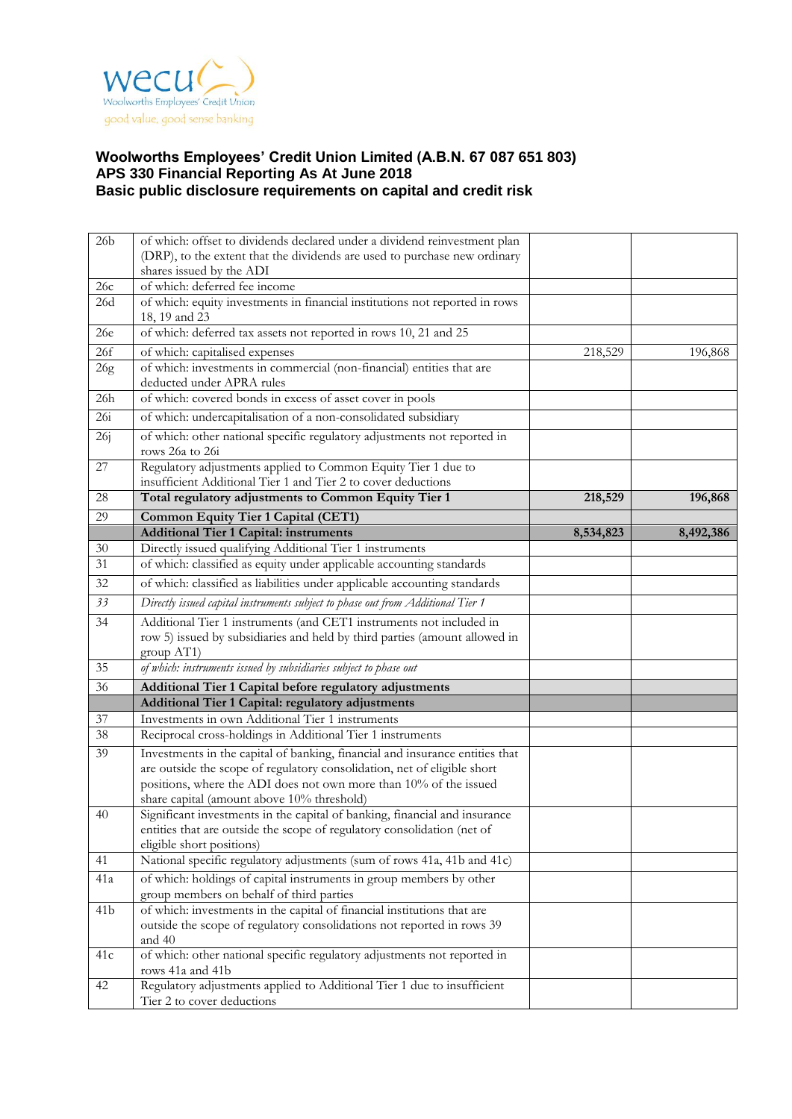

| 26 <sub>b</sub> | of which: offset to dividends declared under a dividend reinvestment plan                                                                                                                                                                                                   |           |           |
|-----------------|-----------------------------------------------------------------------------------------------------------------------------------------------------------------------------------------------------------------------------------------------------------------------------|-----------|-----------|
|                 | (DRP), to the extent that the dividends are used to purchase new ordinary                                                                                                                                                                                                   |           |           |
|                 | shares issued by the ADI                                                                                                                                                                                                                                                    |           |           |
| 26c             | of which: deferred fee income                                                                                                                                                                                                                                               |           |           |
| 26d             | of which: equity investments in financial institutions not reported in rows<br>18, 19 and 23                                                                                                                                                                                |           |           |
| 26e             | of which: deferred tax assets not reported in rows 10, 21 and 25                                                                                                                                                                                                            |           |           |
| 26f             | of which: capitalised expenses                                                                                                                                                                                                                                              | 218,529   | 196,868   |
| 26g             | of which: investments in commercial (non-financial) entities that are<br>deducted under APRA rules                                                                                                                                                                          |           |           |
| 26h             | of which: covered bonds in excess of asset cover in pools                                                                                                                                                                                                                   |           |           |
| 26i             | of which: undercapitalisation of a non-consolidated subsidiary                                                                                                                                                                                                              |           |           |
| 26j             | of which: other national specific regulatory adjustments not reported in                                                                                                                                                                                                    |           |           |
| 27              | rows 26a to 26i<br>Regulatory adjustments applied to Common Equity Tier 1 due to                                                                                                                                                                                            |           |           |
|                 | insufficient Additional Tier 1 and Tier 2 to cover deductions                                                                                                                                                                                                               |           |           |
| 28              | Total regulatory adjustments to Common Equity Tier 1                                                                                                                                                                                                                        | 218,529   | 196,868   |
| 29              | <b>Common Equity Tier 1 Capital (CET1)</b>                                                                                                                                                                                                                                  |           |           |
|                 | <b>Additional Tier 1 Capital: instruments</b>                                                                                                                                                                                                                               | 8,534,823 | 8,492,386 |
| $30\,$          | Directly issued qualifying Additional Tier 1 instruments                                                                                                                                                                                                                    |           |           |
| 31              | of which: classified as equity under applicable accounting standards                                                                                                                                                                                                        |           |           |
| 32              | of which: classified as liabilities under applicable accounting standards                                                                                                                                                                                                   |           |           |
| 33              | Directly issued capital instruments subject to phase out from Additional Tier 1                                                                                                                                                                                             |           |           |
| 34              | Additional Tier 1 instruments (and CET1 instruments not included in                                                                                                                                                                                                         |           |           |
|                 | row 5) issued by subsidiaries and held by third parties (amount allowed in<br>group AT1)                                                                                                                                                                                    |           |           |
| 35              | of which: instruments issued by subsidiaries subject to phase out                                                                                                                                                                                                           |           |           |
| 36              | Additional Tier 1 Capital before regulatory adjustments                                                                                                                                                                                                                     |           |           |
|                 | Additional Tier 1 Capital: regulatory adjustments                                                                                                                                                                                                                           |           |           |
| $37\,$          | Investments in own Additional Tier 1 instruments                                                                                                                                                                                                                            |           |           |
| 38              | Reciprocal cross-holdings in Additional Tier 1 instruments                                                                                                                                                                                                                  |           |           |
| 39              | Investments in the capital of banking, financial and insurance entities that<br>are outside the scope of regulatory consolidation, net of eligible short<br>positions, where the ADI does not own more than 10% of the issued<br>share capital (amount above 10% threshold) |           |           |
| 40              | Significant investments in the capital of banking, financial and insurance<br>entities that are outside the scope of regulatory consolidation (net of<br>eligible short positions)                                                                                          |           |           |
| 41              | National specific regulatory adjustments (sum of rows 41a, 41b and 41c)                                                                                                                                                                                                     |           |           |
| 41a             | of which: holdings of capital instruments in group members by other<br>group members on behalf of third parties                                                                                                                                                             |           |           |
| 41 <sub>b</sub> | of which: investments in the capital of financial institutions that are<br>outside the scope of regulatory consolidations not reported in rows 39                                                                                                                           |           |           |
|                 | and 40                                                                                                                                                                                                                                                                      |           |           |
| 41c             | of which: other national specific regulatory adjustments not reported in<br>rows 41a and 41b                                                                                                                                                                                |           |           |
| 42              | Regulatory adjustments applied to Additional Tier 1 due to insufficient<br>Tier 2 to cover deductions                                                                                                                                                                       |           |           |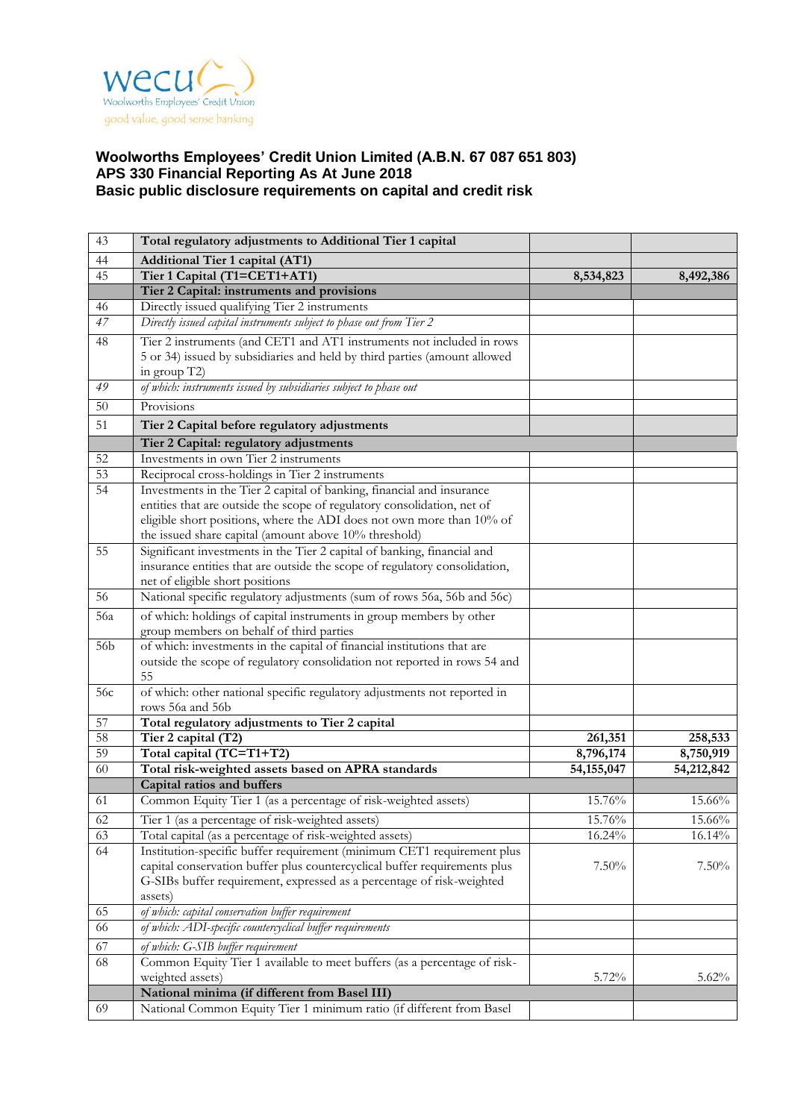

| 43              | Total regulatory adjustments to Additional Tier 1 capital                                                                                             |              |            |
|-----------------|-------------------------------------------------------------------------------------------------------------------------------------------------------|--------------|------------|
| 44              | <b>Additional Tier 1 capital (AT1)</b>                                                                                                                |              |            |
| 45              | Tier 1 Capital (T1=CET1+AT1)                                                                                                                          | 8,534,823    | 8,492,386  |
|                 | Tier 2 Capital: instruments and provisions                                                                                                            |              |            |
| 46              | Directly issued qualifying Tier 2 instruments                                                                                                         |              |            |
| 47              | Directly issued capital instruments subject to phase out from Tier 2                                                                                  |              |            |
| 48              | Tier 2 instruments (and CET1 and AT1 instruments not included in rows                                                                                 |              |            |
|                 | 5 or 34) issued by subsidiaries and held by third parties (amount allowed                                                                             |              |            |
|                 | in group T2)                                                                                                                                          |              |            |
| 49              | of which: instruments issued by subsidiaries subject to phase out                                                                                     |              |            |
| 50              | Provisions                                                                                                                                            |              |            |
| 51              | Tier 2 Capital before regulatory adjustments                                                                                                          |              |            |
|                 | Tier 2 Capital: regulatory adjustments                                                                                                                |              |            |
| 52              | Investments in own Tier 2 instruments                                                                                                                 |              |            |
| $\overline{53}$ | Reciprocal cross-holdings in Tier 2 instruments                                                                                                       |              |            |
| $\overline{54}$ | Investments in the Tier 2 capital of banking, financial and insurance                                                                                 |              |            |
|                 | entities that are outside the scope of regulatory consolidation, net of                                                                               |              |            |
|                 | eligible short positions, where the ADI does not own more than 10% of                                                                                 |              |            |
|                 | the issued share capital (amount above 10% threshold)                                                                                                 |              |            |
| 55              | Significant investments in the Tier 2 capital of banking, financial and<br>insurance entities that are outside the scope of regulatory consolidation, |              |            |
|                 | net of eligible short positions                                                                                                                       |              |            |
| 56              | National specific regulatory adjustments (sum of rows 56a, 56b and 56c)                                                                               |              |            |
| 56a             |                                                                                                                                                       |              |            |
|                 | of which: holdings of capital instruments in group members by other<br>group members on behalf of third parties                                       |              |            |
| 56b             | of which: investments in the capital of financial institutions that are                                                                               |              |            |
|                 | outside the scope of regulatory consolidation not reported in rows 54 and<br>55                                                                       |              |            |
| 56c             | of which: other national specific regulatory adjustments not reported in                                                                              |              |            |
|                 | rows 56a and 56b                                                                                                                                      |              |            |
| 57              | Total regulatory adjustments to Tier 2 capital                                                                                                        |              |            |
| $\overline{58}$ | Tier 2 capital (T2)                                                                                                                                   | 261,351      | 258,533    |
| $\overline{59}$ | Total capital (TC=T1+T2)                                                                                                                              | 8,796,174    | 8,750,919  |
| 60              | Total risk-weighted assets based on APRA standards                                                                                                    | 54, 155, 047 | 54,212,842 |
|                 | Capital ratios and buffers                                                                                                                            |              |            |
| 61              | Common Equity Tier 1 (as a percentage of risk-weighted assets)                                                                                        | 15.76%       | 15.66%     |
| 62              | Tier 1 (as a percentage of risk-weighted assets)                                                                                                      | 15.76%       | 15.66%     |
| 63              | Total capital (as a percentage of risk-weighted assets)                                                                                               | 16.24%       | $16.14\%$  |
| 64              | Institution-specific buffer requirement (minimum CET1 requirement plus                                                                                |              |            |
|                 | capital conservation buffer plus countercyclical buffer requirements plus                                                                             | $7.50\%$     | $7.50\%$   |
|                 | G-SIBs buffer requirement, expressed as a percentage of risk-weighted                                                                                 |              |            |
|                 | assets)                                                                                                                                               |              |            |
| 65<br>66        | of which: capital conservation buffer requirement                                                                                                     |              |            |
|                 | of which: ADI-specific countercyclical buffer requirements                                                                                            |              |            |
| 67              | of which: G-SIB buffer requirement                                                                                                                    |              |            |
| 68              | Common Equity Tier 1 available to meet buffers (as a percentage of risk-<br>weighted assets)                                                          |              |            |
|                 | National minima (if different from Basel III)                                                                                                         | 5.72%        | $5.62\%$   |
| 69              | National Common Equity Tier 1 minimum ratio (if different from Basel                                                                                  |              |            |
|                 |                                                                                                                                                       |              |            |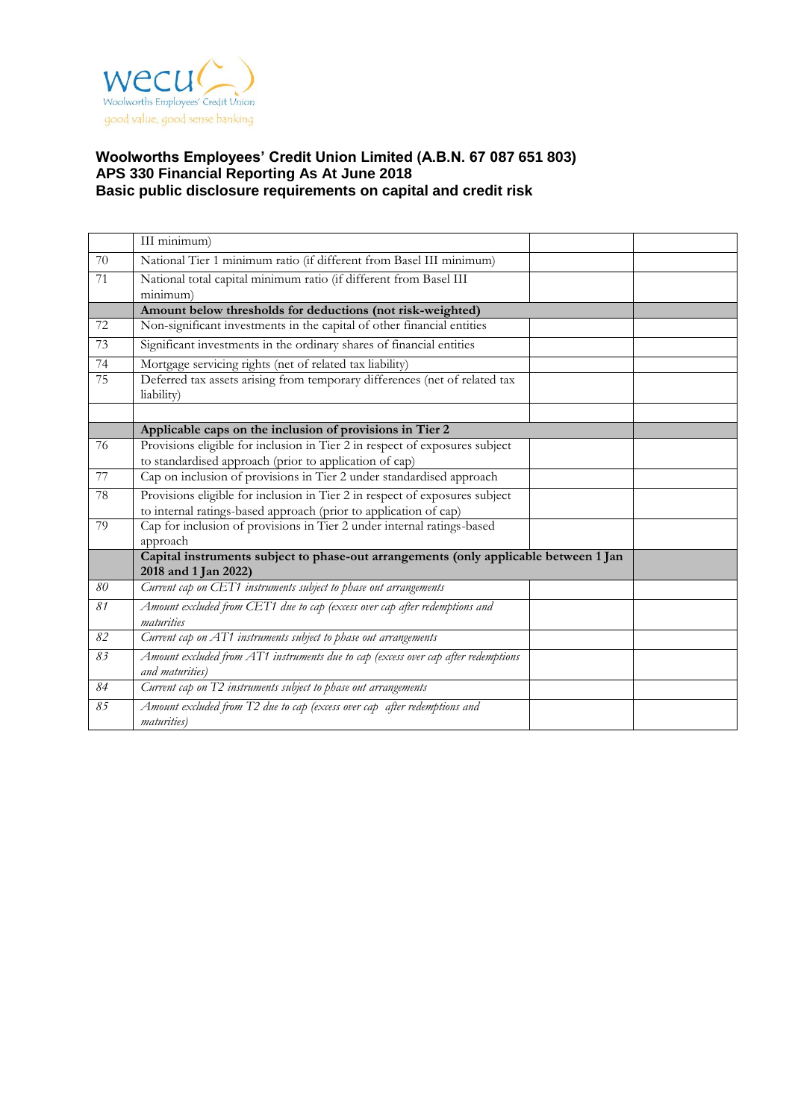

|    | III minimum)                                                                                          |  |
|----|-------------------------------------------------------------------------------------------------------|--|
| 70 | National Tier 1 minimum ratio (if different from Basel III minimum)                                   |  |
| 71 | National total capital minimum ratio (if different from Basel III                                     |  |
|    | minimum)                                                                                              |  |
|    | Amount below thresholds for deductions (not risk-weighted)                                            |  |
| 72 | Non-significant investments in the capital of other financial entities                                |  |
| 73 | Significant investments in the ordinary shares of financial entities                                  |  |
| 74 | Mortgage servicing rights (net of related tax liability)                                              |  |
| 75 | Deferred tax assets arising from temporary differences (net of related tax<br>liability)              |  |
|    |                                                                                                       |  |
|    | Applicable caps on the inclusion of provisions in Tier 2                                              |  |
| 76 | Provisions eligible for inclusion in Tier 2 in respect of exposures subject                           |  |
|    | to standardised approach (prior to application of cap)                                                |  |
| 77 | Cap on inclusion of provisions in Tier 2 under standardised approach                                  |  |
| 78 | Provisions eligible for inclusion in Tier 2 in respect of exposures subject                           |  |
|    | to internal ratings-based approach (prior to application of cap)                                      |  |
| 79 | Cap for inclusion of provisions in Tier 2 under internal ratings-based<br>approach                    |  |
|    | Capital instruments subject to phase-out arrangements (only applicable between 1 Jan                  |  |
|    | 2018 and 1 Jan 2022)                                                                                  |  |
| 80 | Current cap on CET1 instruments subject to phase out arrangements                                     |  |
| 81 | Amount excluded from CET1 due to cap (excess over cap after redemptions and                           |  |
|    | maturities                                                                                            |  |
| 82 | Current cap on AT1 instruments subject to phase out arrangements                                      |  |
| 83 | Amount excluded from AT1 instruments due to cap (excess over cap after redemptions<br>and maturities) |  |
| 84 | Current cap on T2 instruments subject to phase out arrangements                                       |  |
| 85 | Amount excluded from T2 due to cap (excess over cap after redemptions and<br>maturities)              |  |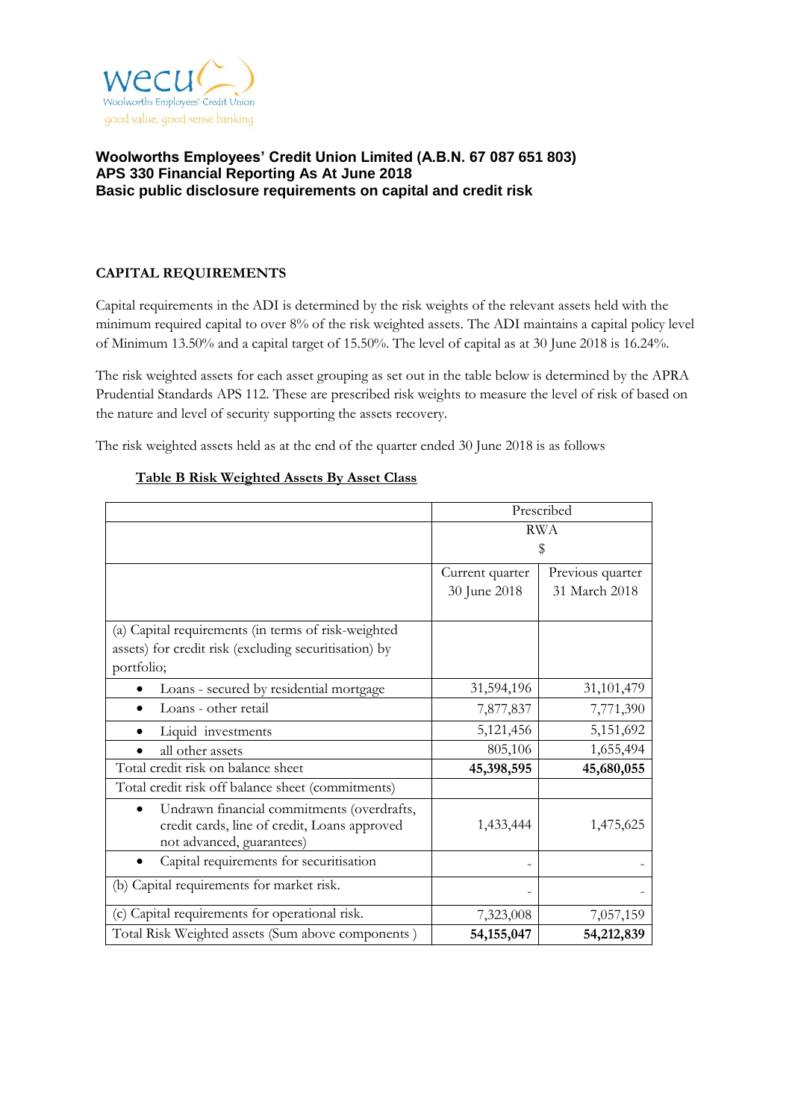

# **CAPITAL REQUIREMENTS**

Capital requirements in the ADI is determined by the risk weights of the relevant assets held with the minimum required capital to over 8% of the risk weighted assets. The ADI maintains a capital policy level of Minimum 13.50% and a capital target of 15.50%. The level of capital as at 30 June 2018 is 16.24%.

The risk weighted assets for each asset grouping as set out in the table below is determined by the APRA Prudential Standards APS 112. These are prescribed risk weights to measure the level of risk of based on the nature and level of security supporting the assets recovery.

The risk weighted assets held as at the end of the quarter ended 30 June 2018 is as follows

|                                                                                                                         | Prescribed      |                  |  |
|-------------------------------------------------------------------------------------------------------------------------|-----------------|------------------|--|
|                                                                                                                         | <b>RWA</b>      |                  |  |
|                                                                                                                         |                 | \$               |  |
|                                                                                                                         | Current quarter | Previous quarter |  |
|                                                                                                                         | 30 June 2018    | 31 March 2018    |  |
| (a) Capital requirements (in terms of risk-weighted                                                                     |                 |                  |  |
| assets) for credit risk (excluding securitisation) by                                                                   |                 |                  |  |
| portfolio;                                                                                                              |                 |                  |  |
| Loans - secured by residential mortgage                                                                                 | 31,594,196      | 31,101,479       |  |
| Loans - other retail                                                                                                    | 7,877,837       | 7,771,390        |  |
| Liquid investments                                                                                                      | 5,121,456       | 5,151,692        |  |
| all other assets                                                                                                        | 805,106         | 1,655,494        |  |
| Total credit risk on balance sheet                                                                                      | 45,398,595      | 45,680,055       |  |
| Total credit risk off balance sheet (commitments)                                                                       |                 |                  |  |
| Undrawn financial commitments (overdrafts,<br>credit cards, line of credit, Loans approved<br>not advanced, guarantees) | 1,433,444       | 1,475,625        |  |
| Capital requirements for securitisation                                                                                 |                 |                  |  |
| (b) Capital requirements for market risk.                                                                               |                 |                  |  |
| (c) Capital requirements for operational risk.                                                                          | 7,323,008       | 7,057,159        |  |
| Total Risk Weighted assets (Sum above components)                                                                       | 54, 155, 047    | 54,212,839       |  |

## **Table B Risk Weighted Assets By Asset Class**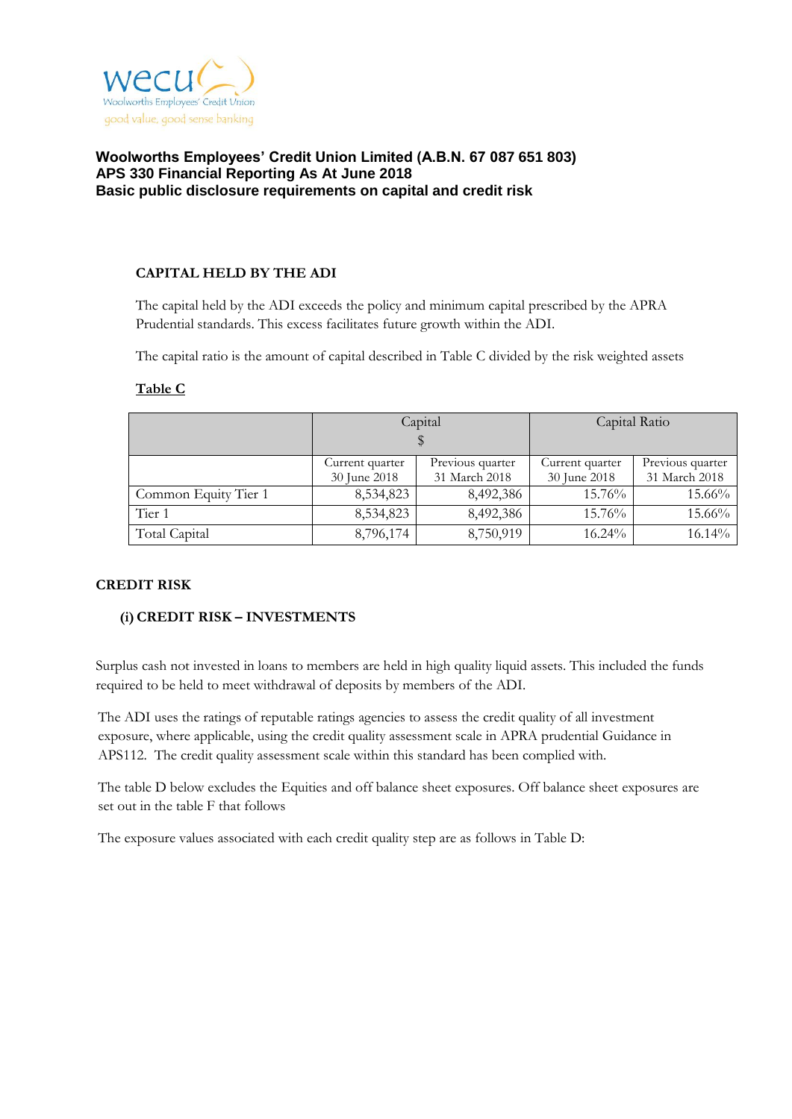

### **CAPITAL HELD BY THE ADI**

The capital held by the ADI exceeds the policy and minimum capital prescribed by the APRA Prudential standards. This excess facilitates future growth within the ADI.

The capital ratio is the amount of capital described in Table C divided by the risk weighted assets

|                      |                                     | Capital   | Capital Ratio   |                  |  |
|----------------------|-------------------------------------|-----------|-----------------|------------------|--|
|                      |                                     |           |                 |                  |  |
|                      | Previous quarter<br>Current quarter |           | Current quarter | Previous quarter |  |
|                      | 31 March 2018<br>30 June 2018       |           | 30 June 2018    | 31 March 2018    |  |
| Common Equity Tier 1 | 8,534,823                           | 8,492,386 | 15.76%          | 15.66%           |  |
| Tier 1               | 8,534,823                           | 8,492,386 | $15.76\%$       | 15.66%           |  |
| Total Capital        | 8,796,174                           | 8,750,919 | 16.24%          | 16.14%           |  |

## **Table C**

### **CREDIT RISK**

### **(i)CREDIT RISK – INVESTMENTS**

Surplus cash not invested in loans to members are held in high quality liquid assets. This included the funds required to be held to meet withdrawal of deposits by members of the ADI.

The ADI uses the ratings of reputable ratings agencies to assess the credit quality of all investment exposure, where applicable, using the credit quality assessment scale in APRA prudential Guidance in APS112. The credit quality assessment scale within this standard has been complied with.

The table D below excludes the Equities and off balance sheet exposures. Off balance sheet exposures are set out in the table F that follows

The exposure values associated with each credit quality step are as follows in Table D: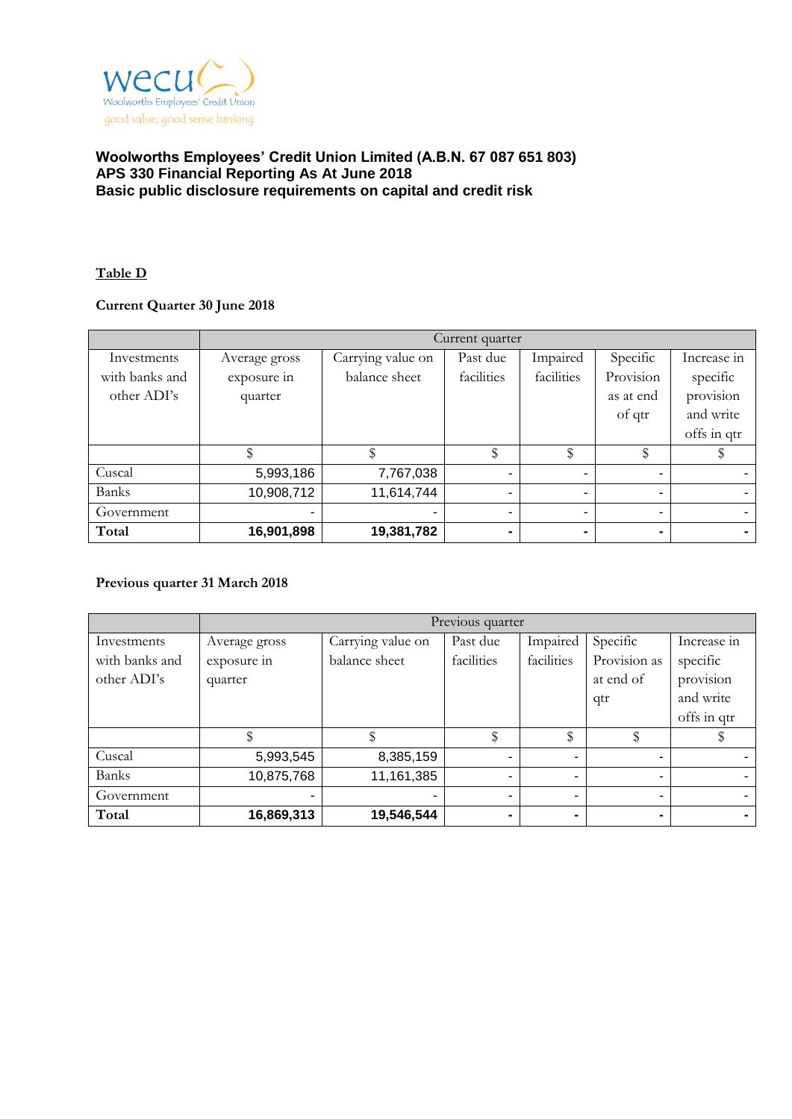

## **Table D**

# **Current Quarter 30 June 2018**

|                | Current quarter |                   |            |                |                |             |
|----------------|-----------------|-------------------|------------|----------------|----------------|-------------|
| Investments    | Average gross   | Carrying value on | Past due   | Impaired       | Specific       | Increase in |
| with banks and | exposure in     | balance sheet     | facilities | facilities     | Provision      | specific    |
| other ADI's    | quarter         |                   |            |                | as at end      | provision   |
|                |                 |                   |            |                | of qtr         | and write   |
|                |                 |                   |            |                |                | offs in qtr |
|                |                 |                   | \$         | \$             |                |             |
| Cuscal         | 5,993,186       | 7,767,038         | ۰          |                | $\blacksquare$ |             |
| <b>Banks</b>   | 10,908,712      | 11,614,744        | -          | $\blacksquare$ | $\blacksquare$ |             |
| Government     | ٠               |                   |            | ۰              | ٠              |             |
| Total          | 16,901,898      | 19,381,782        |            | -              | $\blacksquare$ | ۰.          |

### **Previous quarter 31 March 2018**

|                | Previous quarter |                   |            |            |                |                |
|----------------|------------------|-------------------|------------|------------|----------------|----------------|
| Investments    | Average gross    | Carrying value on | Past due   | Impaired   | Specific       | Increase in    |
| with banks and | exposure in      | balance sheet     | facilities | facilities | Provision as   | specific       |
| other ADI's    | quarter          |                   |            |            | at end of      | provision      |
|                |                  |                   |            |            | qtr            | and write      |
|                |                  |                   |            |            |                | offs in qtr    |
|                |                  |                   | \$         | \$         |                |                |
| Cuscal         | 5,993,545        | 8,385,159         |            |            | ٠              |                |
| <b>Banks</b>   | 10,875,768       | 11,161,385        |            |            | ۰              |                |
| Government     | $\blacksquare$   |                   |            |            | ٠              |                |
| Total          | 16,869,313       | 19,546,544        |            |            | $\blacksquare$ | $\blacksquare$ |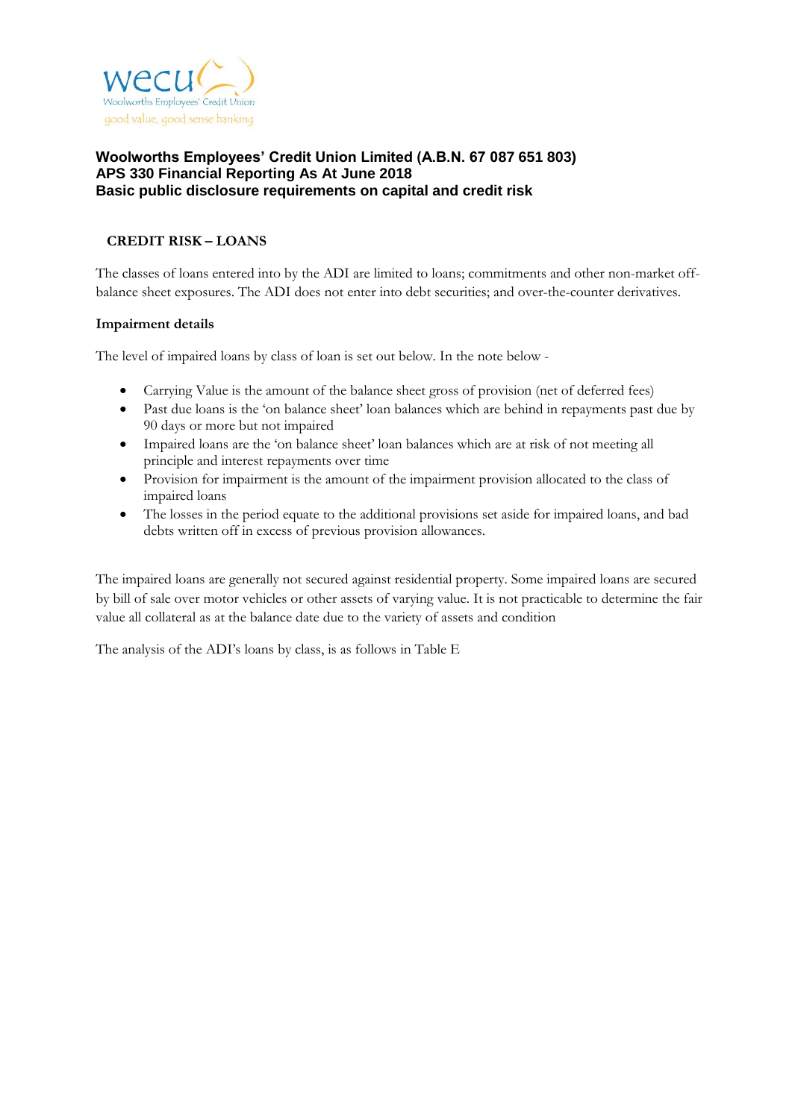

# **CREDIT RISK – LOANS**

The classes of loans entered into by the ADI are limited to loans; commitments and other non-market offbalance sheet exposures. The ADI does not enter into debt securities; and over-the-counter derivatives.

### **Impairment details**

The level of impaired loans by class of loan is set out below. In the note below -

- Carrying Value is the amount of the balance sheet gross of provision (net of deferred fees)
- Past due loans is the 'on balance sheet' loan balances which are behind in repayments past due by 90 days or more but not impaired
- Impaired loans are the 'on balance sheet' loan balances which are at risk of not meeting all principle and interest repayments over time
- Provision for impairment is the amount of the impairment provision allocated to the class of impaired loans
- The losses in the period equate to the additional provisions set aside for impaired loans, and bad debts written off in excess of previous provision allowances.

The impaired loans are generally not secured against residential property. Some impaired loans are secured by bill of sale over motor vehicles or other assets of varying value. It is not practicable to determine the fair value all collateral as at the balance date due to the variety of assets and condition

The analysis of the ADI's loans by class, is as follows in Table E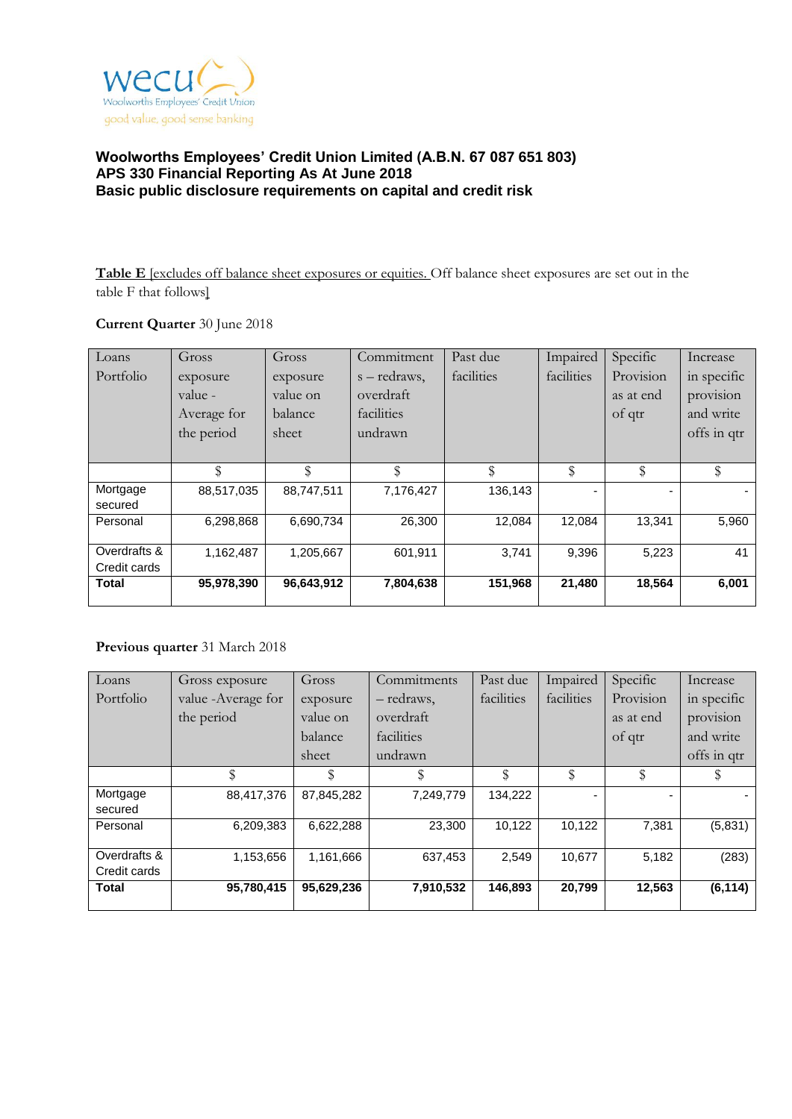

**Table E** [excludes off balance sheet exposures or equities. Off balance sheet exposures are set out in the table F that follows]

### **Current Quarter** 30 June 2018

| Loans        | Gross       | Gross      | Commitment   | Past due   | Impaired   | Specific  | Increase    |
|--------------|-------------|------------|--------------|------------|------------|-----------|-------------|
| Portfolio    | exposure    | exposure   | s – redraws, | facilities | facilities | Provision | in specific |
|              | value -     | value on   | overdraft    |            |            | as at end | provision   |
|              | Average for | balance    | facilities   |            |            | of qtr    | and write   |
|              | the period  | sheet      | undrawn      |            |            |           | offs in qtr |
|              |             |            |              |            |            |           |             |
|              | \$          | \$         | \$           | \$         | \$         | \$        | \$          |
| Mortgage     | 88,517,035  | 88,747,511 | 7,176,427    | 136,143    |            |           |             |
| secured      |             |            |              |            |            |           |             |
| Personal     | 6,298,868   | 6,690,734  | 26,300       | 12,084     | 12,084     | 13,341    | 5,960       |
|              |             |            |              |            |            |           |             |
| Overdrafts & | 1,162,487   | 1,205,667  | 601,911      | 3,741      | 9,396      | 5,223     | 41          |
| Credit cards |             |            |              |            |            |           |             |
| <b>Total</b> | 95,978,390  | 96,643,912 | 7,804,638    | 151,968    | 21,480     | 18,564    | 6,001       |
|              |             |            |              |            |            |           |             |

# **Previous quarter** 31 March 2018

| Loans        | Gross exposure      | Gross      | Commitments | Past due   | Impaired   | Specific  | Increase    |
|--------------|---------------------|------------|-------------|------------|------------|-----------|-------------|
| Portfolio    | value - Average for | exposure   | - redraws,  | facilities | facilities | Provision | in specific |
|              | the period          | value on   | overdraft   |            |            | as at end | provision   |
|              |                     | balance    | facilities  |            |            | of qtr    | and write   |
|              |                     | sheet      | undrawn     |            |            |           | offs in qtr |
|              | \$                  | \$         |             | \$         | \$         | \$        |             |
| Mortgage     | 88,417,376          | 87,845,282 | 7,249,779   | 134,222    |            |           |             |
| secured      |                     |            |             |            |            |           |             |
| Personal     | 6,209,383           | 6,622,288  | 23,300      | 10,122     | 10.122     | 7,381     | (5,831)     |
|              |                     |            |             |            |            |           |             |
| Overdrafts & | 1,153,656           | 1,161,666  | 637,453     | 2.549      | 10,677     | 5,182     | (283)       |
| Credit cards |                     |            |             |            |            |           |             |
| <b>Total</b> | 95,780,415          | 95,629,236 | 7,910,532   | 146,893    | 20,799     | 12,563    | (6, 114)    |
|              |                     |            |             |            |            |           |             |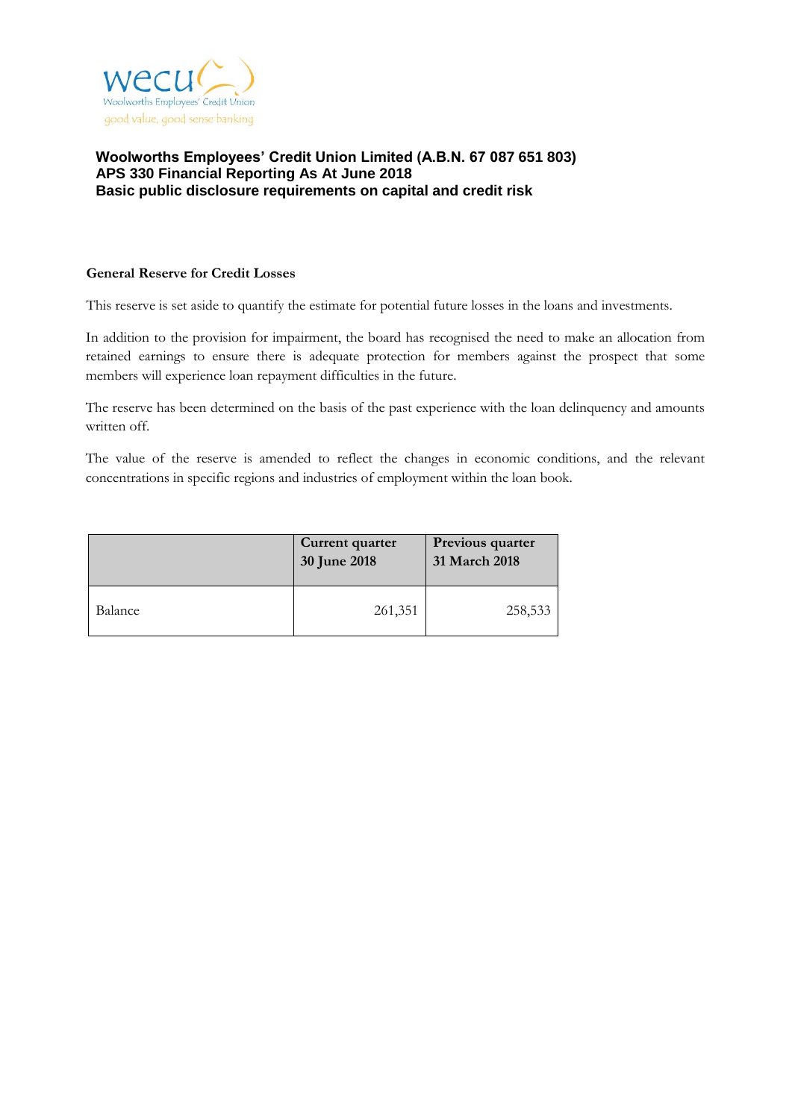

### **General Reserve for Credit Losses**

This reserve is set aside to quantify the estimate for potential future losses in the loans and investments.

In addition to the provision for impairment, the board has recognised the need to make an allocation from retained earnings to ensure there is adequate protection for members against the prospect that some members will experience loan repayment difficulties in the future.

The reserve has been determined on the basis of the past experience with the loan delinquency and amounts written off.

The value of the reserve is amended to reflect the changes in economic conditions, and the relevant concentrations in specific regions and industries of employment within the loan book.

|         | Current quarter<br>30 June 2018 | Previous quarter<br>31 March 2018 |
|---------|---------------------------------|-----------------------------------|
| Balance | 261,351                         | 258,533                           |